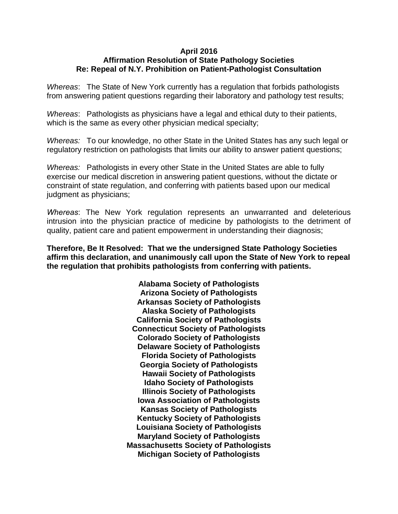## **April 2016 Affirmation Resolution of State Pathology Societies Re: Repeal of N.Y. Prohibition on Patient-Pathologist Consultation**

*Whereas*: The State of New York currently has a regulation that forbids pathologists from answering patient questions regarding their laboratory and pathology test results;

*Whereas*: Pathologists as physicians have a legal and ethical duty to their patients, which is the same as every other physician medical specialty;

*Whereas:* To our knowledge, no other State in the United States has any such legal or regulatory restriction on pathologists that limits our ability to answer patient questions;

*Whereas:* Pathologists in every other State in the United States are able to fully exercise our medical discretion in answering patient questions, without the dictate or constraint of state regulation, and conferring with patients based upon our medical judgment as physicians;

*Whereas*: The New York regulation represents an unwarranted and deleterious intrusion into the physician practice of medicine by pathologists to the detriment of quality, patient care and patient empowerment in understanding their diagnosis;

**Therefore, Be It Resolved: That we the undersigned State Pathology Societies affirm this declaration, and unanimously call upon the State of New York to repeal the regulation that prohibits pathologists from conferring with patients.** 

> **Alabama Society of Pathologists Arizona Society of Pathologists Arkansas Society of Pathologists Alaska Society of Pathologists California Society of Pathologists Connecticut Society of Pathologists Colorado Society of Pathologists Delaware Society of Pathologists Florida Society of Pathologists Georgia Society of Pathologists Hawaii Society of Pathologists Idaho Society of Pathologists Illinois Society of Pathologists Iowa Association of Pathologists Kansas Society of Pathologists Kentucky Society of Pathologists Louisiana Society of Pathologists Maryland Society of Pathologists Massachusetts Society of Pathologists Michigan Society of Pathologists**